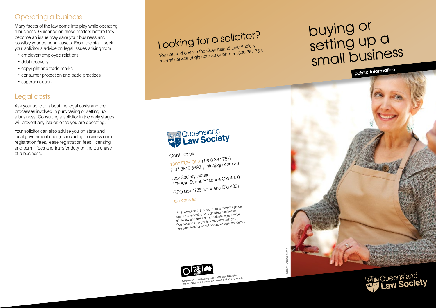# Operating a business

Many facets of the law come into play while operating a business. Guidance on these matters before they become an issue may save your business and possibly your personal assets. From the start, seek your solicitor's advice on legal issues arising from:

- employer/employee relations
- debt recovery
- • copyright and trade marks
- consumer protection and trade practices
- superannuation.

# Legal costs

Ask your solicitor about the legal costs and the processes involved in purchasing or setting up a business. Consulting a solicitor in the early stages will prevent any issues once you are operating.

Your solicitor can also advise you on state and local government charges including business name registration fees, lease registration fees, licensing and permit fees and transfer duty on the purchase of a business.

Looking for a solicitor?

You can find you can find you can find the Voltage of the Law Society referral service at qls.com.au or phone 1300 367 757.

# buying or<br>setting up a<br>small business







Contact us<br>
1300 FOR QLS (1300 367 757)<br>
F 07 3842 5999 | info@qls.com.au<br>
Law Society House<br>
179 Ann Street, Brisbane Qld 4000<br>
GPO Box 1785, Brisbane Qld 4001<br>
qls.com.au<br>
dls.com.au<br>
The information in this brochure is